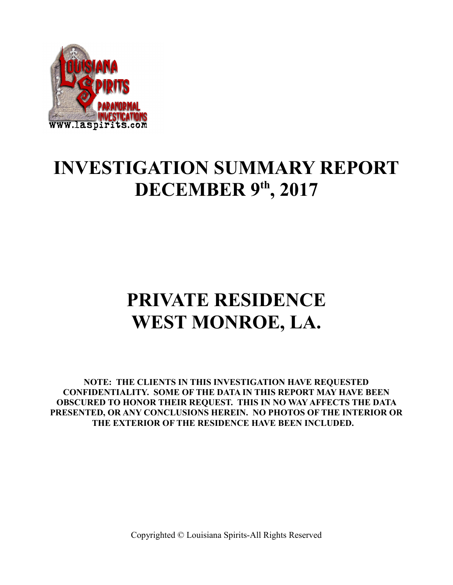

## **INVESTIGATION SUMMARY REPORT DECEMBER 9th, 2017**

# **PRIVATE RESIDENCE WEST MONROE, LA.**

**NOTE: THE CLIENTS IN THIS INVESTIGATION HAVE REQUESTED CONFIDENTIALITY. SOME OF THE DATA IN THIS REPORT MAY HAVE BEEN OBSCURED TO HONOR THEIR REQUEST. THIS IN NO WAY AFFECTS THE DATA PRESENTED, OR ANY CONCLUSIONS HEREIN. NO PHOTOS OF THE INTERIOR OR THE EXTERIOR OF THE RESIDENCE HAVE BEEN INCLUDED.**

Copyrighted © Louisiana Spirits-All Rights Reserved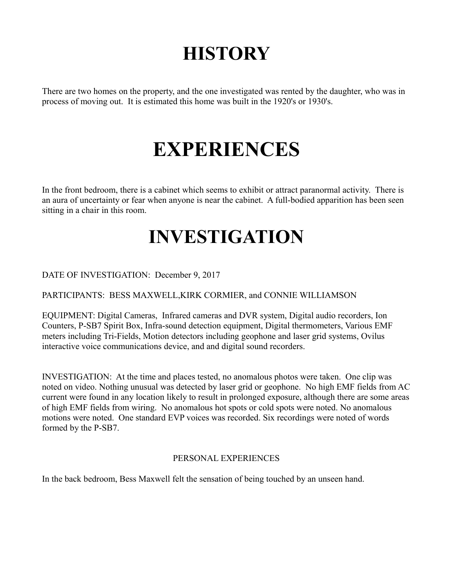## **HISTORY**

There are two homes on the property, and the one investigated was rented by the daughter, who was in process of moving out. It is estimated this home was built in the 1920's or 1930's.

# **EXPERIENCES**

In the front bedroom, there is a cabinet which seems to exhibit or attract paranormal activity. There is an aura of uncertainty or fear when anyone is near the cabinet. A full-bodied apparition has been seen sitting in a chair in this room.

## **INVESTIGATION**

DATE OF INVESTIGATION: December 9, 2017

PARTICIPANTS: BESS MAXWELL,KIRK CORMIER, and CONNIE WILLIAMSON

EQUIPMENT: Digital Cameras, Infrared cameras and DVR system, Digital audio recorders, Ion Counters, P-SB7 Spirit Box, Infra-sound detection equipment, Digital thermometers, Various EMF meters including Tri-Fields, Motion detectors including geophone and laser grid systems, Ovilus interactive voice communications device, and and digital sound recorders.

INVESTIGATION: At the time and places tested, no anomalous photos were taken. One clip was noted on video. Nothing unusual was detected by laser grid or geophone. No high EMF fields from AC current were found in any location likely to result in prolonged exposure, although there are some areas of high EMF fields from wiring. No anomalous hot spots or cold spots were noted. No anomalous motions were noted. One standard EVP voices was recorded. Six recordings were noted of words formed by the P-SB7.

### PERSONAL EXPERIENCES

In the back bedroom, Bess Maxwell felt the sensation of being touched by an unseen hand.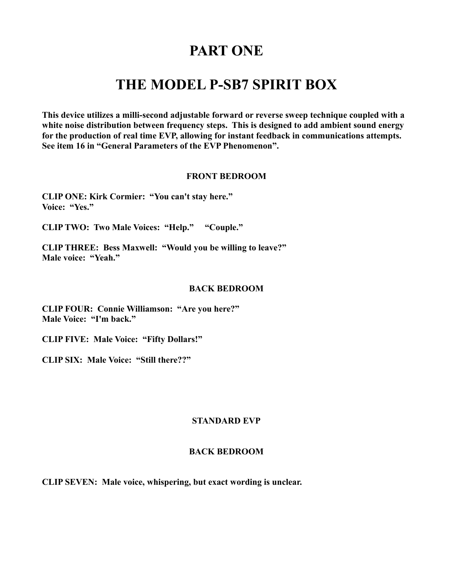### **PART ONE**

### **THE MODEL P-SB7 SPIRIT BOX**

**This device utilizes a milli-second adjustable forward or reverse sweep technique coupled with a white noise distribution between frequency steps. This is designed to add ambient sound energy for the production of real time EVP, allowing for instant feedback in communications attempts. See item 16 in "General Parameters of the EVP Phenomenon".** 

#### **FRONT BEDROOM**

**CLIP ONE: Kirk Cormier: "You can't stay here." Voice: "Yes."**

**CLIP TWO: Two Male Voices: "Help." "Couple."**

**CLIP THREE: Bess Maxwell: "Would you be willing to leave?" Male voice: "Yeah."**

#### **BACK BEDROOM**

**CLIP FOUR: Connie Williamson: "Are you here?" Male Voice: "I'm back."**

**CLIP FIVE: Male Voice: "Fifty Dollars!"**

**CLIP SIX: Male Voice: "Still there??"**

### **STANDARD EVP**

### **BACK BEDROOM**

**CLIP SEVEN: Male voice, whispering, but exact wording is unclear.**